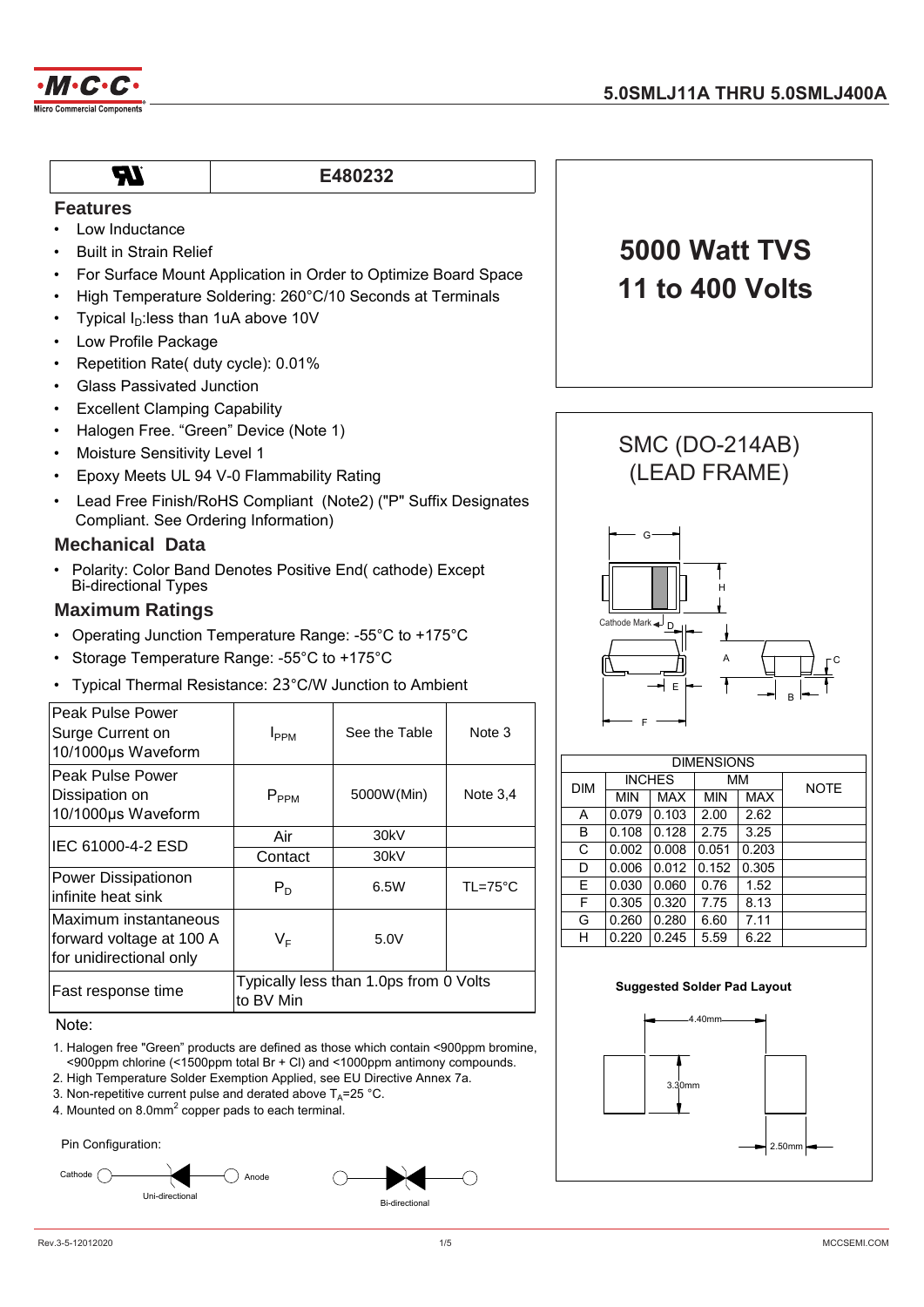

# **TR**

# **E480232**

- **Features**
- Low Inductance • Built in Strain Relief
- For Surface Mount Application in Order to Optimize Board Space
- High Temperature Soldering: 260°C/10 Seconds at Terminals
- Typical  $I<sub>D</sub>$ : less than 1uA above 10V
- Low Profile Package
- Repetition Rate( duty cycle): 0.01%
- Glass Passivated Junction
- **Excellent Clamping Capability**
- Halogen Free. "Green" Device (Note 1)
- Moisture Sensitivity Level 1
- Epoxy Meets UL 94 V-0 Flammability Rating
- Lead Free Finish/RoHS Compliant (Note2) ("P" Suffix Designates Compliant. See Ordering Information)

#### **Mechanical Data**

• Polarity: Color Band Denotes Positive End( cathode) Except Bi-directional Types

# **Maximum Ratings**

- Operating Junction Temperature Range: -55°C to +175°C
- Storage Temperature Range: -55°C to +175°C
- Typical Thermal Resistance: 23°C/W Junction to Ambient

| Peak Pulse Power<br>Surge Current on<br>10/1000µs Waveform                   | <b>I</b> pp <sub>M</sub>                            | See the Table | Note 3           |  |
|------------------------------------------------------------------------------|-----------------------------------------------------|---------------|------------------|--|
| Peak Pulse Power<br>Dissipation on<br>10/1000µs Waveform                     | $P_{PPM}$                                           | 5000W(Min)    | Note $3.4$       |  |
| IEC 61000-4-2 ESD                                                            | Air                                                 | 30kV          |                  |  |
|                                                                              | Contact                                             | 30kV          |                  |  |
| Power Dissipationon<br>infinite heat sink                                    | $P_D$                                               | 6.5W          | $TL=75^{\circ}C$ |  |
| Maximum instantaneous<br>forward voltage at 100 A<br>for unidirectional only | $V_F$                                               | 5.0V          |                  |  |
| Fast response time                                                           | Typically less than 1.0ps from 0 Volts<br>to BV Min |               |                  |  |

Note:

- 1. Halogen free "Green" products are defined as those which contain <900ppm bromine, <900ppm chlorine (<1500ppm total Br + Cl) and <1000ppm antimony compounds.
- 2. High Temperature Solder Exemption Applied, see EU Directive Annex 7a.
- 3. Non-repetitive current pulse and derated above  $T_{\text{A}}$ =25 °C.
- 4. Mounted on 8.0mm<sup>2</sup> copper pads to each terminal.









| <b>DIMENSIONS</b> |               |            |            |            |             |  |
|-------------------|---------------|------------|------------|------------|-------------|--|
| <b>DIM</b>        | <b>INCHES</b> |            |            | <b>MM</b>  | <b>NOTE</b> |  |
|                   | <b>MIN</b>    | <b>MAX</b> | <b>MIN</b> | <b>MAX</b> |             |  |
| A                 | 0.079         | 0.103      | 2.00       | 2.62       |             |  |
| B                 | 0.108         | 0.128      | 2.75       | 3.25       |             |  |
| C                 | 0.002         | 0.008      | 0.051      | 0.203      |             |  |
| D                 | 0.006         | 0.012      | 0.152      | 0.305      |             |  |
| E                 | 0.030         | 0.060      | 0.76       | 1.52       |             |  |
| F                 | 0.305         | 0.320      | 7.75       | 8.13       |             |  |
| G                 | 0.260         | 0.280      | 6.60       | 7.11       |             |  |
| н                 | 0.220         | 0.245      | 5.59       | 6.22       |             |  |

#### **Suggested Solder Pad Layout**

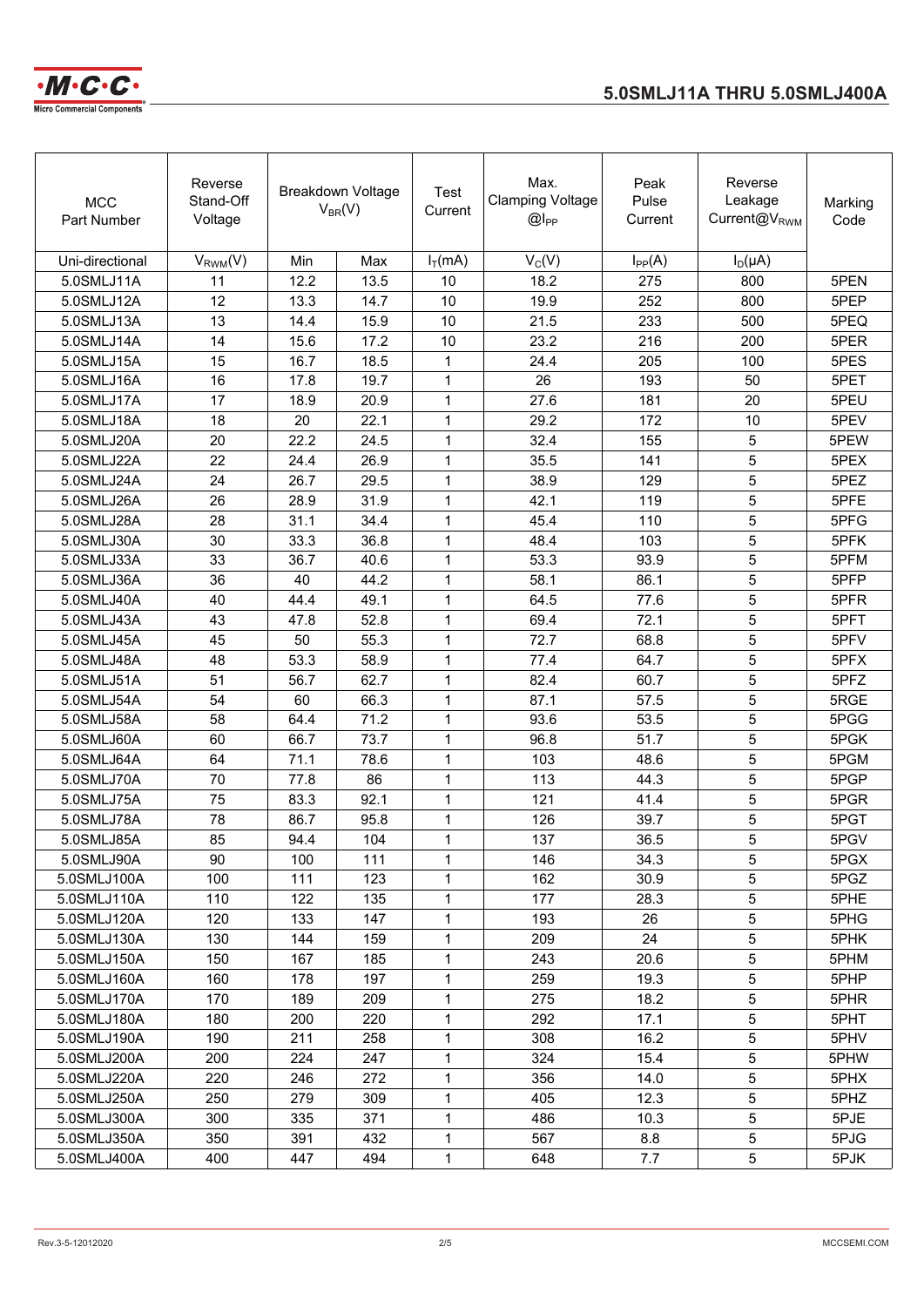



| <b>MCC</b><br>Part Number | Reverse<br>Stand-Off<br>Voltage |      | Breakdown Voltage<br>$V_{BR}(V)$ | Test<br>Current | Max.<br><b>Clamping Voltage</b><br>$@I_{PP}$ | Peak<br>Pulse<br>Current | Reverse<br>Leakage<br>Current@V <sub>RWM</sub> | Marking<br>Code |
|---------------------------|---------------------------------|------|----------------------------------|-----------------|----------------------------------------------|--------------------------|------------------------------------------------|-----------------|
| Uni-directional           | $V_{RWM}(V)$                    | Min  | Max                              | $I_T(mA)$       | $V_C(V)$                                     | $I_{PP}(A)$              | $I_D(\mu A)$                                   |                 |
| 5.0SMLJ11A                | 11                              | 12.2 | 13.5                             | 10              | 18.2                                         | 275                      | 800                                            | 5PEN            |
| 5.0SMLJ12A                | 12                              | 13.3 | 14.7                             | 10              | 19.9                                         | 252                      | 800                                            | 5PEP            |
| 5.0SMLJ13A                | 13                              | 14.4 | 15.9                             | 10              | 21.5                                         | 233                      | 500                                            | 5PEQ            |
| 5.0SMLJ14A                | 14                              | 15.6 | 17.2                             | 10              | 23.2                                         | 216                      | 200                                            | 5PER            |
| 5.0SMLJ15A                | 15                              | 16.7 | 18.5                             | 1               | 24.4                                         | 205                      | 100                                            | 5PES            |
| 5.0SMLJ16A                | 16                              | 17.8 | 19.7                             | 1               | 26                                           | 193                      | 50                                             | 5PET            |
| 5.0SMLJ17A                | 17                              | 18.9 | 20.9                             | 1               | 27.6                                         | 181                      | 20                                             | 5PEU            |
| 5.0SMLJ18A                | 18                              | 20   | 22.1                             | 1               | 29.2                                         | 172                      | 10                                             | 5PEV            |
| 5.0SMLJ20A                | 20                              | 22.2 | 24.5                             | 1               | 32.4                                         | 155                      | 5                                              | 5PEW            |
| 5.0SMLJ22A                | 22                              | 24.4 | 26.9                             | 1               | 35.5                                         | 141                      | 5                                              | 5PEX            |
| 5.0SMLJ24A                | 24                              | 26.7 | 29.5                             | 1               | 38.9                                         | 129                      | 5                                              | 5PEZ            |
| 5.0SMLJ26A                | 26                              | 28.9 | 31.9                             | 1               | 42.1                                         | 119                      | 5                                              | 5PFE            |
| 5.0SMLJ28A                | 28                              | 31.1 | 34.4                             | 1               | 45.4                                         | 110                      | 5                                              | 5PFG            |
| 5.0SMLJ30A                | 30                              | 33.3 | 36.8                             | 1               | 48.4                                         | 103                      | 5                                              | 5PFK            |
| 5.0SMLJ33A                | 33                              | 36.7 | 40.6                             | 1               | 53.3                                         | 93.9                     | 5                                              | 5PFM            |
| 5.0SMLJ36A                | 36                              | 40   | 44.2                             | 1               | 58.1                                         | 86.1                     | 5                                              | 5PFP            |
| 5.0SMLJ40A                | 40                              | 44.4 | 49.1                             | 1               | 64.5                                         | 77.6                     | 5                                              | 5PFR            |
| 5.0SMLJ43A                | 43                              | 47.8 | 52.8                             | 1               | 69.4                                         | 72.1                     | 5                                              | 5PFT            |
| 5.0SMLJ45A                | 45                              | 50   | 55.3                             | 1               | 72.7                                         | 68.8                     | 5                                              | 5PFV            |
| 5.0SMLJ48A                | 48                              | 53.3 | 58.9                             | 1               | 77.4                                         | 64.7                     | 5                                              | 5PFX            |
| 5.0SMLJ51A                | 51                              | 56.7 | 62.7                             | 1               | 82.4                                         | 60.7                     | 5                                              | 5PFZ            |
| 5.0SMLJ54A                | 54                              | 60   | 66.3                             | 1               | 87.1                                         | 57.5                     | 5                                              | 5RGE            |
| 5.0SMLJ58A                | 58                              | 64.4 | 71.2                             | 1               | 93.6                                         | 53.5                     | 5                                              | 5PGG            |
| 5.0SMLJ60A                | 60                              | 66.7 | 73.7                             | 1               | 96.8                                         | 51.7                     | 5                                              | 5PGK            |
| 5.0SMLJ64A                | 64                              | 71.1 | 78.6                             | $\mathbf{1}$    | 103                                          | 48.6                     | 5                                              | 5PGM            |
| 5.0SMLJ70A                | 70                              | 77.8 | 86                               | 1               | 113                                          | 44.3                     | 5                                              | 5PGP            |
| 5.0SMLJ75A                | 75                              | 83.3 | 92.1                             | 1               | 121                                          | 41.4                     | 5                                              | 5PGR            |
| 5.0SMLJ78A                | 78                              | 86.7 | 95.8                             | 1               | 126                                          | 39.7                     | 5                                              | 5PGT            |
| 5.0SMLJ85A                | 85                              | 94.4 | 104                              | $\mathbf{1}$    | 137                                          | 36.5                     | 5                                              | 5PGV            |
| 5.0SMLJ90A                | 90                              | 100  | 111                              | 1               | 146                                          | 34.3                     | 5                                              | 5PGX            |
| 5.0SMLJ100A               | 100                             | 111  | 123                              | 1               | 162                                          | 30.9                     | $5\phantom{.0}$                                | 5PGZ            |
| 5.0SMLJ110A               | 110                             | 122  | 135                              | 1               | 177                                          | 28.3                     | 5                                              | 5PHE            |
| 5.0SMLJ120A               | 120                             | 133  | 147                              | 1               | 193                                          | 26                       | $5\phantom{.0}$                                | 5PHG            |
| 5.0SMLJ130A               | 130                             | 144  | 159                              | 1               | 209                                          | 24                       | $5\phantom{.0}$                                | 5PHK            |
| 5.0SMLJ150A               | 150                             | 167  | 185                              | 1               | 243                                          | 20.6                     | $\mathbf 5$                                    | 5PHM            |
| 5.0SMLJ160A               | 160                             | 178  | 197                              | 1               | 259                                          | 19.3                     | 5                                              | 5PHP            |
| 5.0SMLJ170A               | 170                             | 189  | 209                              | 1               | 275                                          | 18.2                     | 5                                              | 5PHR            |
| 5.0SMLJ180A               | 180                             | 200  | 220                              | 1               | 292                                          | 17.1                     | 5                                              | 5PHT            |
| 5.0SMLJ190A               | 190                             | 211  | 258                              | 1               | 308                                          | 16.2                     | 5                                              | 5PHV            |
| 5.0SMLJ200A               | 200                             | 224  | 247                              | 1               | 324                                          | 15.4                     | 5                                              | 5PHW            |
| 5.0SMLJ220A               | 220                             | 246  | 272                              | 1               | 356                                          | 14.0                     | $\mathbf 5$                                    | 5PHX            |
| 5.0SMLJ250A               | 250                             | 279  | 309                              | 1               | 405                                          | 12.3                     | $\mathbf 5$                                    | 5PHZ            |
| 5.0SMLJ300A               | 300                             | 335  | 371                              | 1               | 486                                          | 10.3                     | $5\phantom{.0}$                                | 5PJE            |
| 5.0SMLJ350A               | 350                             | 391  | 432                              | 1               | 567                                          | 8.8                      | 5                                              | 5PJG            |
| 5.0SMLJ400A               | 400                             | 447  | 494                              | $\mathbf 1$     | 648                                          | 7.7                      | 5                                              | 5PJK            |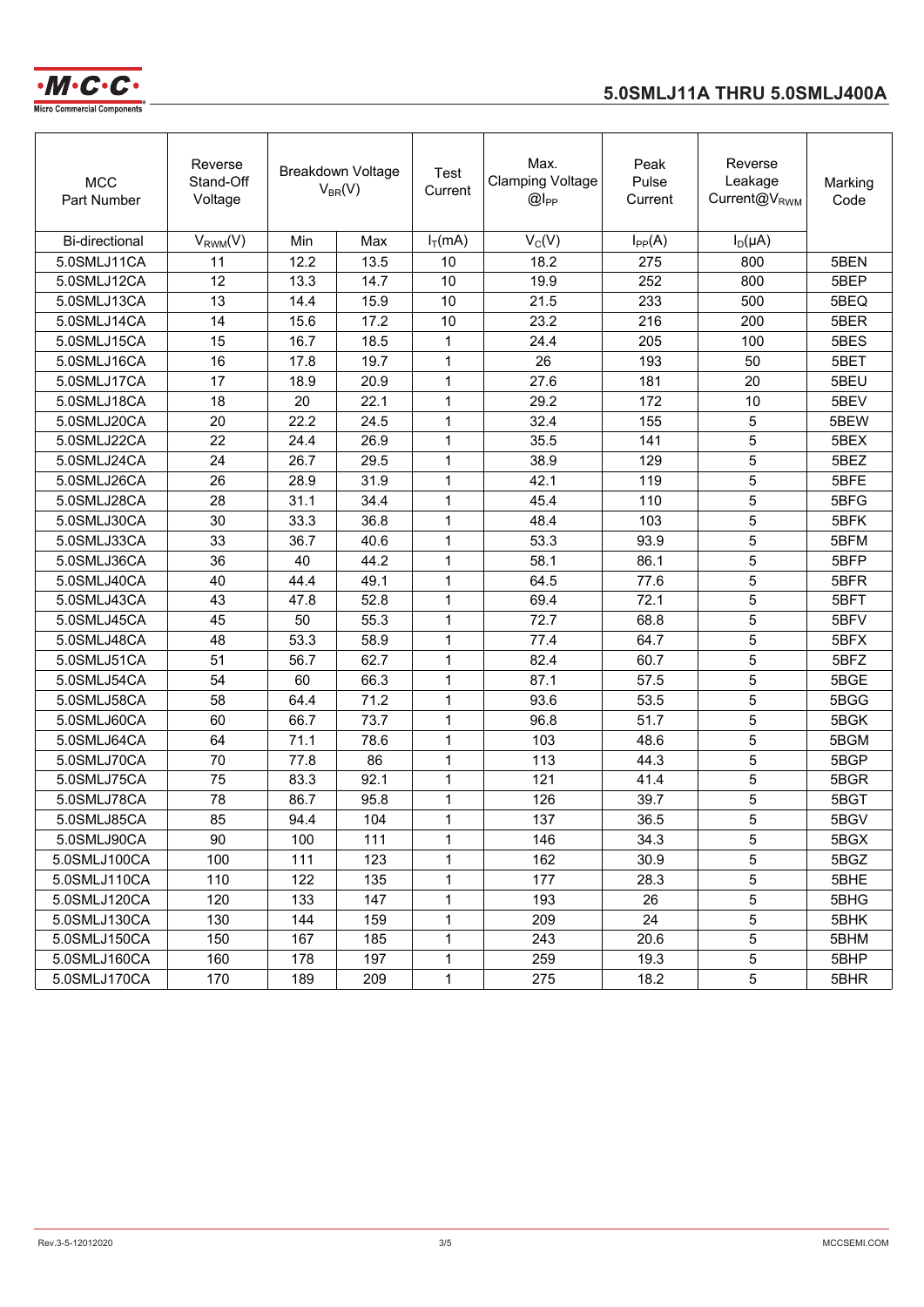

# **5.0SMLJ11A THRU 5.0SMLJ400A**

| <b>MCC</b><br>Part Number | Reverse<br>Stand-Off<br>Voltage |      | Breakdown Voltage<br>$V_{BR}(V)$ | Test<br>Current | Max.<br><b>Clamping Voltage</b><br>$@I_{PP}$ | Peak<br>Pulse<br>Current | Reverse<br>Leakage<br>Current@V <sub>RWM</sub> | Marking<br>Code |
|---------------------------|---------------------------------|------|----------------------------------|-----------------|----------------------------------------------|--------------------------|------------------------------------------------|-----------------|
| <b>Bi-directional</b>     | $V_{RWM}(V)$                    | Min  | Max                              | $I_T(mA)$       | $V_C(V)$                                     | $I_{PP}(A)$              | $I_D(\mu A)$                                   |                 |
| 5.0SMLJ11CA               | 11                              | 12.2 | 13.5                             | 10              | 18.2                                         | 275                      | 800                                            | 5BEN            |
| 5.0SMLJ12CA               | 12                              | 13.3 | 14.7                             | 10              | 19.9                                         | 252                      | 800                                            | 5BEP            |
| 5.0SMLJ13CA               | 13                              | 14.4 | 15.9                             | 10              | 21.5                                         | 233                      | 500                                            | 5BEQ            |
| 5.0SMLJ14CA               | 14                              | 15.6 | 17.2                             | 10              | 23.2                                         | 216                      | 200                                            | 5BER            |
| 5.0SMLJ15CA               | 15                              | 16.7 | 18.5                             | 1               | 24.4                                         | 205                      | 100                                            | 5BES            |
| 5.0SMLJ16CA               | 16                              | 17.8 | 19.7                             | $\mathbf{1}$    | 26                                           | 193                      | 50                                             | 5BET            |
| 5.0SMLJ17CA               | 17                              | 18.9 | 20.9                             | $\mathbf{1}$    | 27.6                                         | 181                      | 20                                             | 5BEU            |
| 5.0SMLJ18CA               | 18                              | 20   | 22.1                             | $\mathbf{1}$    | 29.2                                         | 172                      | 10                                             | 5BEV            |
| 5.0SMLJ20CA               | 20                              | 22.2 | 24.5                             | 1               | 32.4                                         | 155                      | 5                                              | 5BEW            |
| 5.0SMLJ22CA               | 22                              | 24.4 | 26.9                             | 1               | 35.5                                         | 141                      | 5                                              | 5BEX            |
| 5.0SMLJ24CA               | 24                              | 26.7 | 29.5                             | 1               | 38.9                                         | 129                      | 5                                              | 5BEZ            |
| 5.0SMLJ26CA               | 26                              | 28.9 | 31.9                             | 1               | 42.1                                         | 119                      | 5                                              | 5BFE            |
| 5.0SMLJ28CA               | 28                              | 31.1 | 34.4                             | 1               | 45.4                                         | 110                      | 5                                              | 5BFG            |
| 5.0SMLJ30CA               | 30                              | 33.3 | 36.8                             | 1               | 48.4                                         | 103                      | 5                                              | 5BFK            |
| 5.0SMLJ33CA               | 33                              | 36.7 | 40.6                             | 1               | 53.3                                         | 93.9                     | 5                                              | 5BFM            |
| 5.0SMLJ36CA               | 36                              | 40   | 44.2                             | 1               | 58.1                                         | 86.1                     | 5                                              | 5BFP            |
| 5.0SMLJ40CA               | 40                              | 44.4 | 49.1                             | 1               | 64.5                                         | 77.6                     | 5                                              | 5BFR            |
| 5.0SMLJ43CA               | 43                              | 47.8 | 52.8                             | 1               | 69.4                                         | 72.1                     | 5                                              | 5BFT            |
| 5.0SMLJ45CA               | 45                              | 50   | 55.3                             | 1               | 72.7                                         | 68.8                     | 5                                              | 5BFV            |
| 5.0SMLJ48CA               | 48                              | 53.3 | 58.9                             | 1               | 77.4                                         | 64.7                     | 5                                              | 5BFX            |
| 5.0SMLJ51CA               | 51                              | 56.7 | 62.7                             | 1               | 82.4                                         | 60.7                     | 5                                              | 5BFZ            |
| 5.0SMLJ54CA               | 54                              | 60   | 66.3                             | 1               | 87.1                                         | 57.5                     | 5                                              | 5BGE            |
| 5.0SMLJ58CA               | 58                              | 64.4 | 71.2                             | 1               | 93.6                                         | 53.5                     | 5                                              | 5BGG            |
| 5.0SMLJ60CA               | 60                              | 66.7 | 73.7                             | 1               | 96.8                                         | 51.7                     | 5                                              | 5BGK            |
| 5.0SMLJ64CA               | 64                              | 71.1 | 78.6                             | 1               | 103                                          | 48.6                     | 5                                              | 5BGM            |
| 5.0SMLJ70CA               | 70                              | 77.8 | 86                               | 1               | 113                                          | 44.3                     | 5                                              | 5BGP            |
| 5.0SMLJ75CA               | 75                              | 83.3 | 92.1                             | 1               | 121                                          | 41.4                     | 5                                              | 5BGR            |
| 5.0SMLJ78CA               | 78                              | 86.7 | 95.8                             | 1               | 126                                          | 39.7                     | 5                                              | 5BGT            |
| 5.0SMLJ85CA               | 85                              | 94.4 | 104                              | 1               | 137                                          | 36.5                     | 5                                              | 5BGV            |
| 5.0SMLJ90CA               | 90                              | 100  | 111                              | 1               | 146                                          | 34.3                     | 5                                              | 5BGX            |
| 5.0SMLJ100CA              | 100                             | 111  | 123                              | 1               | 162                                          | 30.9                     | 5                                              | 5BGZ            |
| 5.0SMLJ110CA              | 110                             | 122  | 135                              | 1               | 177                                          | 28.3                     | 5                                              | 5BHE            |
| 5.0SMLJ120CA              | 120                             | 133  | 147                              | 1               | 193                                          | 26                       | 5                                              | 5BHG            |
| 5.0SMLJ130CA              | 130                             | 144  | 159                              | 1               | 209                                          | 24                       | 5                                              | 5BHK            |
| 5.0SMLJ150CA              | 150                             | 167  | 185                              | 1               | 243                                          | 20.6                     | 5                                              | 5BHM            |
| 5.0SMLJ160CA              | 160                             | 178  | 197                              | 1               | 259                                          | 19.3                     | 5                                              | 5BHP            |
| 5.0SMLJ170CA              | 170                             | 189  | 209                              | $\mathbf{1}$    | 275                                          | 18.2                     | 5                                              | 5BHR            |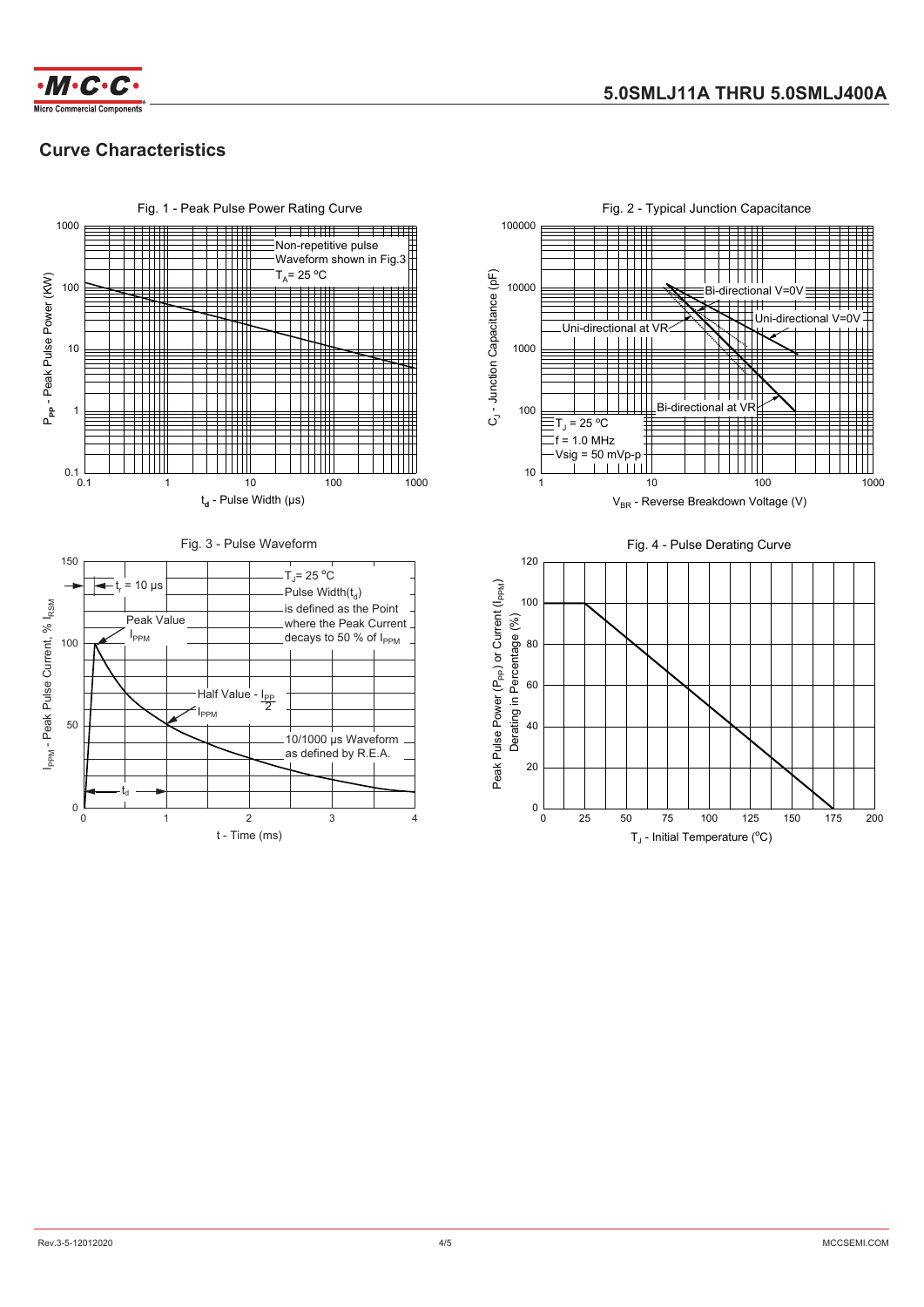

# **Curve Characteristics**



Fig. 2 - Typical Junction Capacitance 100000  $C_{J}$ - Junction Capacitance (pF)  $C_{1}$  - Junction Capacitance (pF)  $\Box$ 10000 Bi-directional V=0V  $\pm$  $\overrightarrow{1}$ Uni-directional V ╈╈╈╈╈ Uni-directional at VR  $11111$ 1000  $\mathbf{||}$ Bi-directional at VR 100 TJ = 25 **<sup>O</sup>** C  $f = 1.0$  MHz  $V$ sig = 50 mVp-p  $\mathbf{I}$  $10$ 10 100 1 10 100 1000 1000  $V_{BR}$  - Reverse Breakdown Voltage (V) Fig. 4 - Pulse Derating Curve 120 Peak Pulse Power (P<sub>PP</sub>) or Current (I<sub>PPM</sub>) Peak Pulse Power (P<sub>PP</sub>) or Current (I<sub>PPM</sub>) 100 Derating in Percentage (%) 80 60 40 20

0 25 50 75 100 125 150 175 200

T<sub>J</sub> - Initial Temperature (°C)

 $0\frac{L}{0}$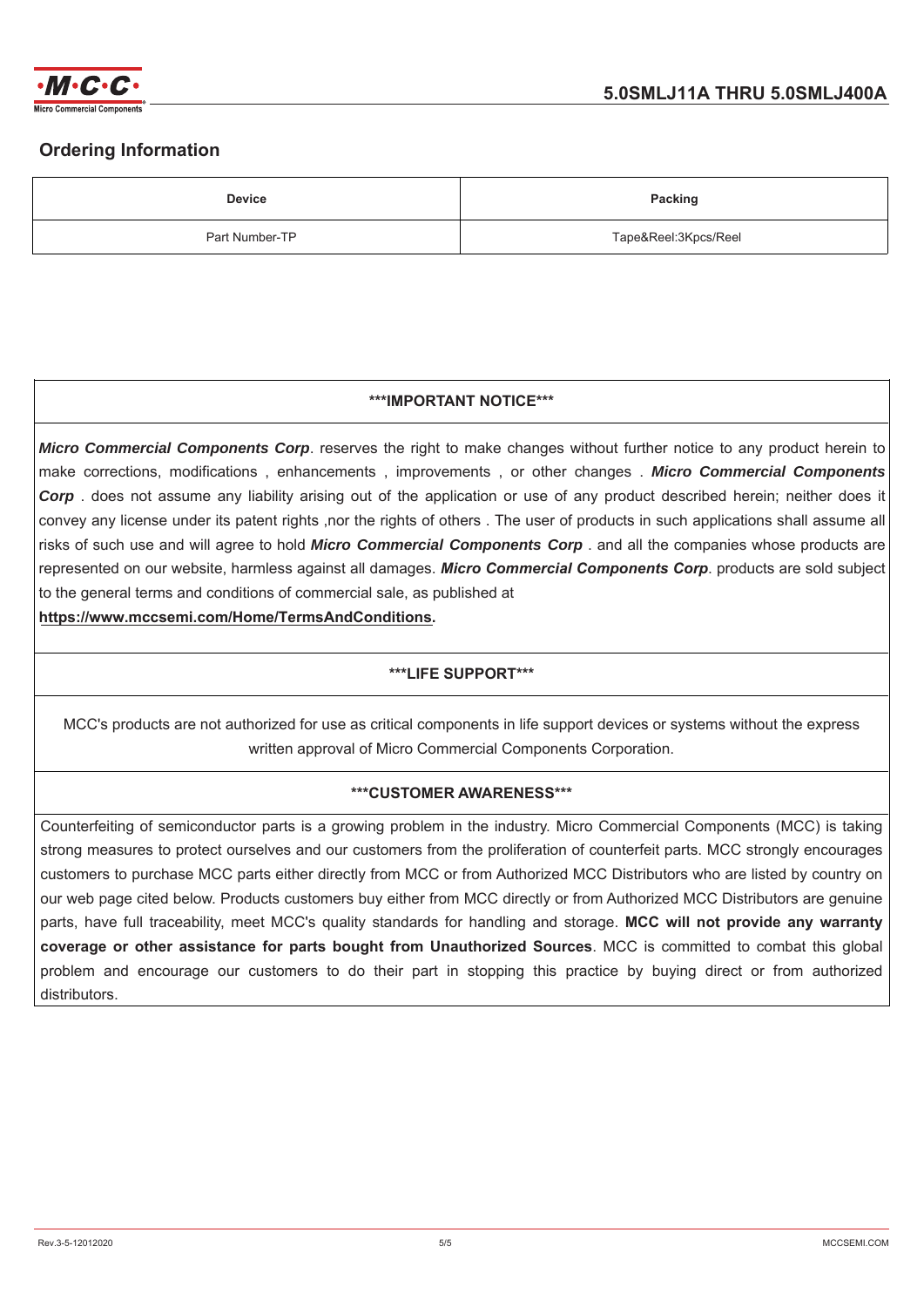

# **Ordering Information**

| <b>Device</b>  | <b>Packing</b>       |
|----------------|----------------------|
| Part Number-TP | Tape&Reel:3Kpcs/Reel |

## **\*\*\*IMPORTANT NOTICE\*\*\***

*Micro Commercial Components Corp*. reserves the right to make changes without further notice to any product herein to make corrections, modifications, enhancements, improvements, or other changes. Micro Commercial Components *Corp* , does not assume any liability arising out of the application or use of any product described herein; neither does it convey any license under its patent rights ,nor the rights of others. The user of products in such applications shall assume all risks of such use and will agree to hold *Micro Commercial Components Corp*, and all the companies whose products are represented on our website, harmless against all damages. Micro Commercial Components Corp. products are sold subject to the general terms and conditions of commercial sale, as published at

https://www.mccsemi.com/Home/TermsAndConditions.

## **\*\*\*LIFE SUPPORT\*\*\***

MCC's products are not authorized for use as critical components in life support devices or systems without the express written approval of Micro Commercial Components Corporation.

#### **\*\*\*CUSTOMER AWARENESS\*\*\***

Counterfeiting of semiconductor parts is a growing problem in the industry. Micro Commercial Components (MCC) is taking strong measures to protect ourselves and our customers from the proliferation of counterfeit parts. MCC strongly encourages customers to purchase MCC parts either directly from MCC or from Authorized MCC Distributors who are listed by country on our web page cited below. Products customers buy either from MCC directly or from Authorized MCC Distributors are genuine parts, have full traceability, meet MCC's quality standards for handling and storage. **MCC will not provide any warranty** coverage or other assistance for parts bought from Unauthorized Sources. MCC is committed to combat this global problem and encourage our customers to do their part in stopping this practice by buying direct or from authorized distributors.